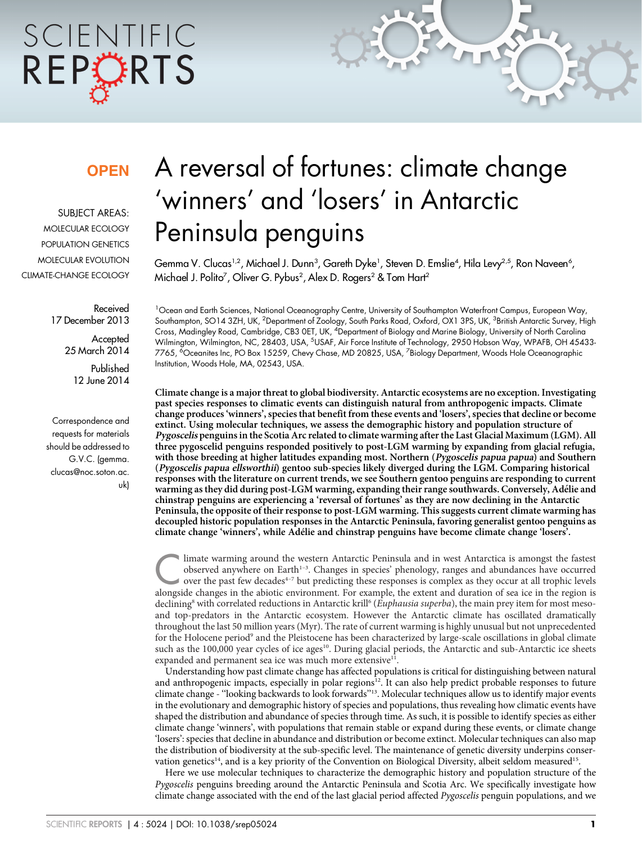# SCIENTIFIC REPORTS

### **OPFN**

SUBJECT AREAS: MOLECULAR ECOLOGY POPULATION GENETICS MOLECULAR EVOLUTION CLIMATE-CHANGE ECOLOGY

> Received 17 December 2013 **Accepted**

25 March 2014 Published 12 June 2014

Correspondence and requests for materials should be addressed to G.V.C. (gemma. clucas@noc.soton.ac. uk)

## A reversal of fortunes: climate change 'winners' and 'losers' in Antarctic Peninsula penguins

Gemma V. Clucas1,2, Michael J. Dunn $^3$ , Gareth Dyke1, Steven D. Emslie4, Hila Levy $^{2,5}$ , Ron Naveen $^6$ , Michael J. Polito<sup>7</sup>, Oliver G. Pybus<sup>2</sup>, Alex D. Rogers<sup>2</sup> & Tom Hart<sup>2</sup>

<sup>1</sup> Ocean and Earth Sciences, National Oceanography Centre, University of Southampton Waterfront Campus, European Way, Southampton, SO14 3ZH, UK, <sup>2</sup>Department of Zoology, South Parks Road, Oxford, OX1 3PS, UK, <sup>3</sup>British Antarctic Survey, High Cross, Madingley Road, Cambridge, CB3 OET, UK, <sup>4</sup>Department of Biology and Marine Biology, University of North Carolina Wilmington, Wilmington, NC, 28403, USA, <sup>5</sup>USAF, Air Force Institute of Technology, 2950 Hobson Way, WPAFB, OH 45433· 7765, <sup>6</sup>Oceanites Inc, PO Box 15259, Chevy Chase, MD 20825, USA, <sup>7</sup>Biology Department, Woods Hole Oceanographic Institution, Woods Hole, MA, 02543, USA.

Climate change is a major threat to global biodiversity. Antarctic ecosystems are no exception. Investigating past species responses to climatic events can distinguish natural from anthropogenic impacts. Climate change produces 'winners', species that benefit from these events and 'losers', species that decline or become extinct. Using molecular techniques, we assess the demographic history and population structure of Pygoscelis penguins in the Scotia Arc related to climate warming after the Last Glacial Maximum (LGM). All three pygoscelid penguins responded positively to post-LGM warming by expanding from glacial refugia, with those breeding at higher latitudes expanding most. Northern (Pygoscelis papua papua) and Southern (Pygoscelis papua ellsworthii) gentoo sub-species likely diverged during the LGM. Comparing historical responses with the literature on current trends, we see Southern gentoo penguins are responding to current warming as they did during post-LGM warming, expanding their range southwards. Conversely, Adélie and chinstrap penguins are experiencing a 'reversal of fortunes' as they are now declining in the Antarctic Peninsula, the opposite of their response to post-LGM warming. This suggests current climate warming has decoupled historic population responses in the Antarctic Peninsula, favoring generalist gentoo penguins as climate change 'winners', while Adélie and chinstrap penguins have become climate change 'losers'.

limate warming around the western Antarctic Peninsula and in west Antarctica is amongst the fastest<br>over the past few decades<sup>4-7</sup> but predicting these responses is complex as they occur at all trophic levels<br>alongside cha observed anywhere on Earth<sup>1-3</sup>. Changes in species' phenology, ranges and abundances have occurred alongside changes in the abiotic environment. For example, the extent and duration of sea ice in the region is declining<sup>8</sup> with correlated reductions in Antarctic krill<sup>6</sup> (Euphausia superba), the main prey item for most mesoand top-predators in the Antarctic ecosystem. However the Antarctic climate has oscillated dramatically throughout the last 50 million years (Myr). The rate of current warming is highly unusual but not unprecedented for the Holocene period<sup>9</sup> and the Pleistocene has been characterized by large-scale oscillations in global climate such as the 100,000 year cycles of ice ages<sup>10</sup>. During glacial periods, the Antarctic and sub-Antarctic ice sheets expanded and permanent sea ice was much more extensive<sup>11</sup>.

Understanding how past climate change has affected populations is critical for distinguishing between natural and anthropogenic impacts, especially in polar regions<sup>12</sup>. It can also help predict probable responses to future climate change - ''looking backwards to look forwards''13. Molecular techniques allow us to identify major events in the evolutionary and demographic history of species and populations, thus revealing how climatic events have shaped the distribution and abundance of species through time. As such, it is possible to identify species as either climate change 'winners', with populations that remain stable or expand during these events, or climate change 'losers': species that decline in abundance and distribution or become extinct. Molecular techniques can also map the distribution of biodiversity at the sub-specific level. The maintenance of genetic diversity underpins conservation genetics<sup>14</sup>, and is a key priority of the Convention on Biological Diversity, albeit seldom measured<sup>15</sup>.

Here we use molecular techniques to characterize the demographic history and population structure of the Pygoscelis penguins breeding around the Antarctic Peninsula and Scotia Arc. We specifically investigate how climate change associated with the end of the last glacial period affected Pygoscelis penguin populations, and we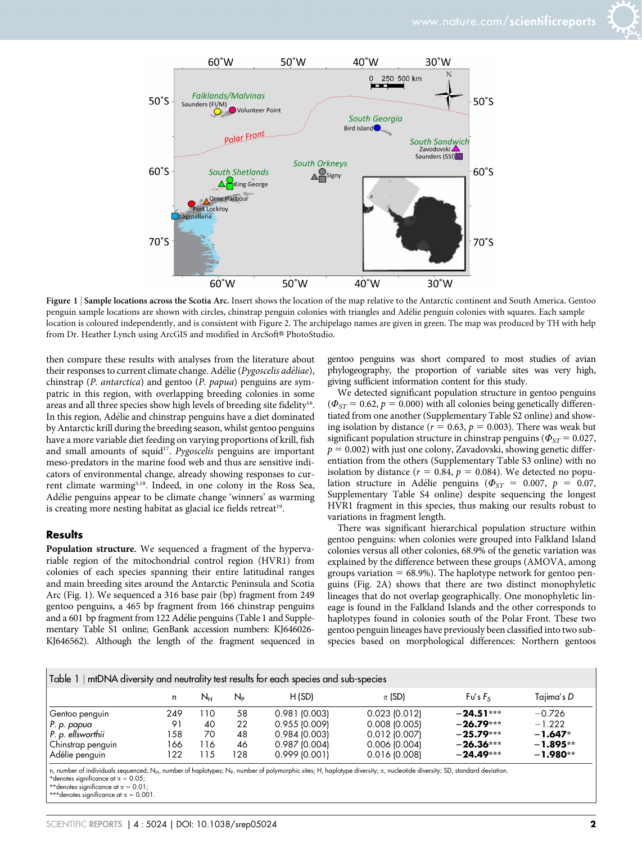



Figure 1 | Sample locations across the Scotia Arc. Insert shows the location of the map relative to the Antarctic continent and South America. Gentoo penguin sample locations are shown with circles, chinstrap penguin colonies with triangles and Adélie penguin colonies with squares. Each sample location is coloured independently, and is consistent with Figure 2. The archipelago names are given in green. The map was produced by TH with help from Dr. Heather Lynch using ArcGIS and modified in ArcSoft® PhotoStudio.

then compare these results with analyses from the literature about their responses to current climate change. Adélie (Pygoscelis adéliae), chinstrap (P. antarctica) and gentoo (P. papua) penguins are sympatric in this region, with overlapping breeding colonies in some areas and all three species show high levels of breeding site fidelity<sup>16</sup>. In this region, Adélie and chinstrap penguins have a diet dominated by Antarctic krill during the breeding season, whilst gentoo penguins have a more variable diet feeding on varying proportions of krill, fish and small amounts of squid<sup>17</sup>. Pygoscelis penguins are important meso-predators in the marine food web and thus are sensitive indicators of environmental change, already showing responses to current climate warming<sup>5,18</sup>. Indeed, in one colony in the Ross Sea, Adélie penguins appear to be climate change 'winners' as warming is creating more nesting habitat as glacial ice fields retreat<sup>19</sup>.

#### **Results**

Population structure. We sequenced a fragment of the hypervariable region of the mitochondrial control region (HVR1) from colonies of each species spanning their entire latitudinal ranges and main breeding sites around the Antarctic Peninsula and Scotia Arc (Fig. 1). We sequenced a 316 base pair (bp) fragment from 249 gentoo penguins, a 465 bp fragment from 166 chinstrap penguins and a 601 bp fragment from 122 Adélie penguins (Table 1 and Supplementary Table S1 online; GenBank accession numbers: KJ646026- KJ646562). Although the length of the fragment sequenced in gentoo penguins was short compared to most studies of avian phylogeography, the proportion of variable sites was very high, giving sufficient information content for this study.

We detected significant population structure in gentoo penguins  $(\Phi_{ST} = 0.62, p = 0.000)$  with all colonies being genetically differentiated from one another (Supplementary Table S2 online) and showing isolation by distance ( $r = 0.63$ ,  $p = 0.003$ ). There was weak but significant population structure in chinstrap penguins ( $\Phi_{ST} = 0.027$ ,  $p = 0.002$ ) with just one colony, Zavadovski, showing genetic differentiation from the others (Supplementary Table S3 online) with no isolation by distance ( $r = 0.84$ ,  $p = 0.084$ ). We detected no population structure in Adélie penguins ( $\Phi_{ST} = 0.007$ ,  $p = 0.07$ , Supplementary Table S4 online) despite sequencing the longest HVR1 fragment in this species, thus making our results robust to variations in fragment length.

There was significant hierarchical population structure within gentoo penguins: when colonies were grouped into Falkland Island colonies versus all other colonies, 68.9% of the genetic variation was explained by the difference between these groups (AMOVA, among groups variation  $= 68.9\%$ ). The haplotype network for gentoo penguins (Fig. 2A) shows that there are two distinct monophyletic lineages that do not overlap geographically. One monophyletic lineage is found in the Falkland Islands and the other corresponds to haplotypes found in colonies south of the Polar Front. These two gentoo penguin lineages have previously been classified into two subspecies based on morphological differences: Northern gentoos

| Table 1   mtDNA diversity and neutrality test results for each species and sub-species |  |  |
|----------------------------------------------------------------------------------------|--|--|
|                                                                                        |  |  |

|                   | n   | Nн | $N_{\rm P}$ | H(SD)        | $\pi$ (SD)      | Fu's Fs     | Tajima's D |  |  |  |
|-------------------|-----|----|-------------|--------------|-----------------|-------------|------------|--|--|--|
| Gentoo penguin    | 249 | 10 | 58          | 0.981(0.003) | 0.023(0.012)    | $-24.51***$ | $-0.726$   |  |  |  |
| P. p. papua       | Θ.  | 40 | 22          | 0.955(0.009) | 0.008(0.005)    | $-26.79***$ | $-1.222$   |  |  |  |
| P. p. ellsworthii | 58ء | 70 | 48          | 0.984(0.003) | $0.012$ (0.007) | $-25.79***$ | $-1.647*$  |  |  |  |
| Chinstrap penguin | 66ء | 16 | 46          | 0.987(0.004) | 0.006(0.004)    | $-26.36***$ | $-1.895**$ |  |  |  |
| Adélie penguin    | 22  | 15 | 28          | 0.999(0.001) | 0.016(0.008)    | $-24.49***$ | $-1.980**$ |  |  |  |

n, number of individuals sequenced; N<sub>H</sub>, number of haplotypes; N<sub>P</sub>, number of polymorphic sites; H, haplotype diversity; π, nucleotide diversity; SD, standard deviation.<br>\*denotes significance at α = 0.05;

\*\*denotes significance at  $\alpha = 0.01$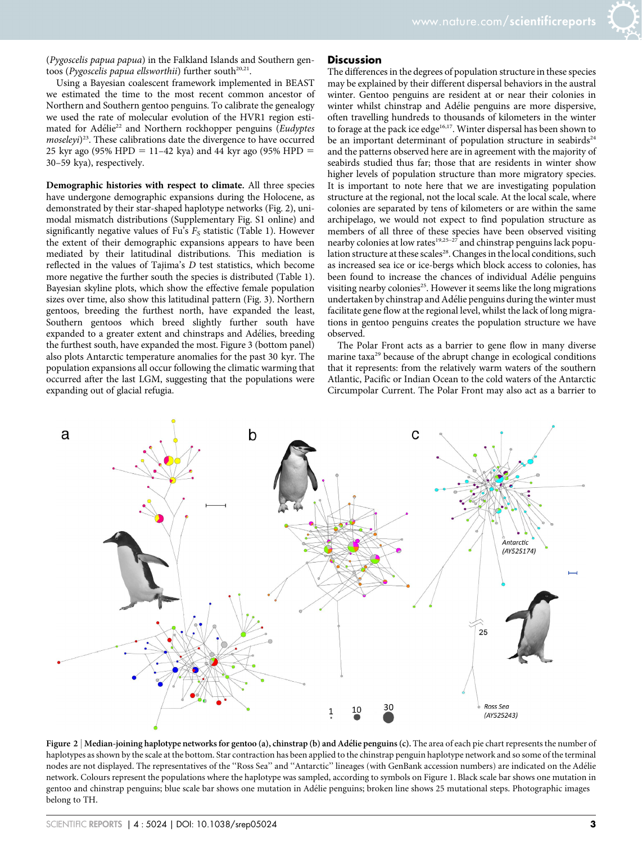(Pygoscelis papua papua) in the Falkland Islands and Southern gentoos (Pygoscelis papua ellsworthii) further south $20,21$ .

Using a Bayesian coalescent framework implemented in BEAST we estimated the time to the most recent common ancestor of Northern and Southern gentoo penguins. To calibrate the genealogy we used the rate of molecular evolution of the HVR1 region estimated for Adélie<sup>22</sup> and Northern rockhopper penguins (Eudyptes moseleyi)<sup>23</sup>. These calibrations date the divergence to have occurred 25 kyr ago (95% HPD = 11–42 kya) and 44 kyr ago (95% HPD = 30–59 kya), respectively.

Demographic histories with respect to climate. All three species have undergone demographic expansions during the Holocene, as demonstrated by their star-shaped haplotype networks (Fig. 2), unimodal mismatch distributions (Supplementary Fig. S1 online) and significantly negative values of Fu's  $F_S$  statistic (Table 1). However the extent of their demographic expansions appears to have been mediated by their latitudinal distributions. This mediation is reflected in the values of Tajima's D test statistics, which become more negative the further south the species is distributed (Table 1). Bayesian skyline plots, which show the effective female population sizes over time, also show this latitudinal pattern (Fig. 3). Northern gentoos, breeding the furthest north, have expanded the least, Southern gentoos which breed slightly further south have expanded to a greater extent and chinstraps and Adélies, breeding the furthest south, have expanded the most. Figure 3 (bottom panel) also plots Antarctic temperature anomalies for the past 30 kyr. The population expansions all occur following the climatic warming that occurred after the last LGM, suggesting that the populations were expanding out of glacial refugia.

#### **Discussion**

The differences in the degrees of population structure in these species may be explained by their different dispersal behaviors in the austral winter. Gentoo penguins are resident at or near their colonies in winter whilst chinstrap and Adélie penguins are more dispersive, often travelling hundreds to thousands of kilometers in the winter to forage at the pack ice edge<sup>16,17</sup>. Winter dispersal has been shown to be an important determinant of population structure in seabirds<sup>24</sup> and the patterns observed here are in agreement with the majority of seabirds studied thus far; those that are residents in winter show higher levels of population structure than more migratory species. It is important to note here that we are investigating population structure at the regional, not the local scale. At the local scale, where colonies are separated by tens of kilometers or are within the same archipelago, we would not expect to find population structure as members of all three of these species have been observed visiting nearby colonies at low rates<sup>19,25-27</sup> and chinstrap penguins lack population structure at these scales<sup>28</sup>. Changes in the local conditions, such as increased sea ice or ice-bergs which block access to colonies, has been found to increase the chances of individual Adélie penguins visiting nearby colonies<sup>25</sup>. However it seems like the long migrations undertaken by chinstrap and Adélie penguins during the winter must facilitate gene flow at the regional level, whilst the lack of long migrations in gentoo penguins creates the population structure we have observed.

The Polar Front acts as a barrier to gene flow in many diverse marine taxa<sup>29</sup> because of the abrupt change in ecological conditions that it represents: from the relatively warm waters of the southern Atlantic, Pacific or Indian Ocean to the cold waters of the Antarctic Circumpolar Current. The Polar Front may also act as a barrier to



Figure  $2 \mid$  Median-joining haplotype networks for gentoo (a), chinstrap (b) and Adélie penguins (c). The area of each pie chart represents the number of haplotypes as shown by the scale at the bottom. Star contraction has been applied to the chinstrap penguin haplotype network and so some of the terminal nodes are not displayed. The representatives of the "Ross Sea" and "Antarctic" lineages (with GenBank accession numbers) are indicated on the Adélie network. Colours represent the populations where the haplotype was sampled, according to symbols on Figure 1. Black scale bar shows one mutation in gentoo and chinstrap penguins; blue scale bar shows one mutation in Adélie penguins; broken line shows 25 mutational steps. Photographic images belong to TH.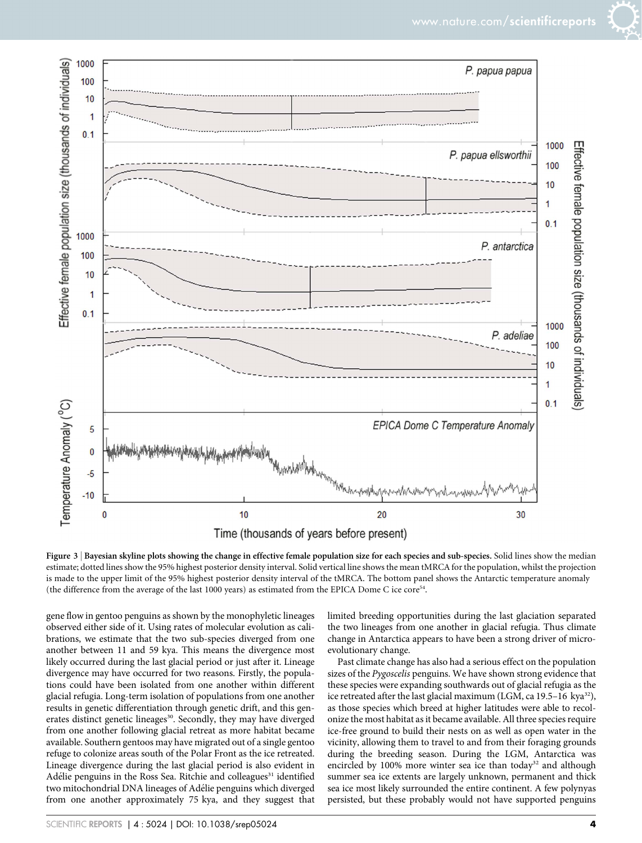

Figure 3 | Bayesian skyline plots showing the change in effective female population size for each species and sub-species. Solid lines show the median estimate; dotted lines show the 95% highest posterior density interval. Solid vertical line shows the mean tMRCA for the population, whilst the projection is made to the upper limit of the 95% highest posterior density interval of the tMRCA. The bottom panel shows the Antarctic temperature anomaly (the difference from the average of the last 1000 years) as estimated from the EPICA Dome C ice core54.

gene flow in gentoo penguins as shown by the monophyletic lineages observed either side of it. Using rates of molecular evolution as calibrations, we estimate that the two sub-species diverged from one another between 11 and 59 kya. This means the divergence most likely occurred during the last glacial period or just after it. Lineage divergence may have occurred for two reasons. Firstly, the populations could have been isolated from one another within different glacial refugia. Long-term isolation of populations from one another results in genetic differentiation through genetic drift, and this generates distinct genetic lineages<sup>30</sup>. Secondly, they may have diverged from one another following glacial retreat as more habitat became available. Southern gentoos may have migrated out of a single gentoo refuge to colonize areas south of the Polar Front as the ice retreated. Lineage divergence during the last glacial period is also evident in Adélie penguins in the Ross Sea. Ritchie and colleagues<sup>31</sup> identified two mitochondrial DNA lineages of Adélie penguins which diverged from one another approximately 75 kya, and they suggest that

limited breeding opportunities during the last glaciation separated the two lineages from one another in glacial refugia. Thus climate change in Antarctica appears to have been a strong driver of microevolutionary change.

Past climate change has also had a serious effect on the population sizes of the Pygoscelis penguins. We have shown strong evidence that these species were expanding southwards out of glacial refugia as the ice retreated after the last glacial maximum (LGM, ca 19.5-16 kya<sup>32</sup>), as those species which breed at higher latitudes were able to recolonize the most habitat as it became available. All three species require ice-free ground to build their nests on as well as open water in the vicinity, allowing them to travel to and from their foraging grounds during the breeding season. During the LGM, Antarctica was encircled by 100% more winter sea ice than today<sup>32</sup> and although summer sea ice extents are largely unknown, permanent and thick sea ice most likely surrounded the entire continent. A few polynyas persisted, but these probably would not have supported penguins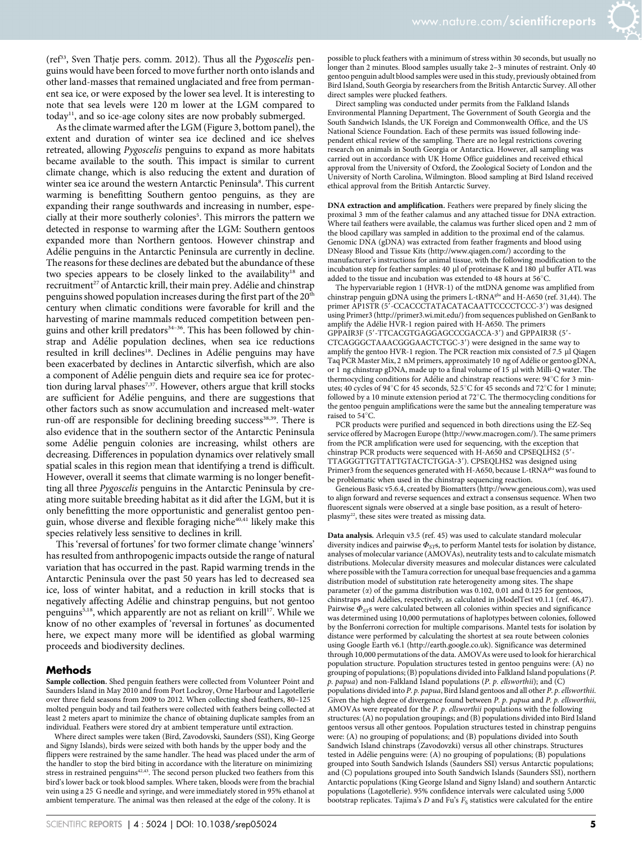( $ref<sup>33</sup>$ , Sven Thatje pers. comm. 2012). Thus all the *Pygoscelis* penguins would have been forced to move further north onto islands and other land-masses that remained unglaciated and free from permanent sea ice, or were exposed by the lower sea level. It is interesting to note that sea levels were 120 m lower at the LGM compared to today<sup>11</sup>, and so ice-age colony sites are now probably submerged.

As the climate warmed after the LGM (Figure 3, bottom panel), the extent and duration of winter sea ice declined and ice shelves retreated, allowing Pygoscelis penguins to expand as more habitats became available to the south. This impact is similar to current climate change, which is also reducing the extent and duration of winter sea ice around the western Antarctic Peninsula<sup>8</sup>. This current warming is benefitting Southern gentoo penguins, as they are expanding their range southwards and increasing in number, especially at their more southerly colonies<sup>5</sup>. This mirrors the pattern we detected in response to warming after the LGM: Southern gentoos expanded more than Northern gentoos. However chinstrap and Adélie penguins in the Antarctic Peninsula are currently in decline. The reasons for these declines are debated but the abundance of these two species appears to be closely linked to the availability<sup>18</sup> and recruitment<sup>27</sup> of Antarctic krill, their main prey. Adélie and chinstrap penguins showed population increases during the first part of the 20<sup>th</sup> century when climatic conditions were favorable for krill and the harvesting of marine mammals reduced competition between penguins and other krill predators<sup>34-36</sup>. This has been followed by chinstrap and Adélie population declines, when sea ice reductions resulted in krill declines<sup>18</sup>. Declines in Adélie penguins may have been exacerbated by declines in Antarctic silverfish, which are also a component of Adélie penguin diets and require sea ice for protection during larval phases<sup>7,37</sup>. However, others argue that krill stocks are sufficient for Adélie penguins, and there are suggestions that other factors such as snow accumulation and increased melt-water run-off are responsible for declining breeding success<sup>38,39</sup>. There is also evidence that in the southern sector of the Antarctic Peninsula some Adélie penguin colonies are increasing, whilst others are decreasing. Differences in population dynamics over relatively small spatial scales in this region mean that identifying a trend is difficult. However, overall it seems that climate warming is no longer benefitting all three Pygoscelis penguins in the Antarctic Peninsula by creating more suitable breeding habitat as it did after the LGM, but it is only benefitting the more opportunistic and generalist gentoo penguin, whose diverse and flexible foraging niche<sup>40,41</sup> likely make this species relatively less sensitive to declines in krill.

This 'reversal of fortunes' for two former climate change 'winners' has resulted from anthropogenic impacts outside the range of natural variation that has occurred in the past. Rapid warming trends in the Antarctic Peninsula over the past 50 years has led to decreased sea ice, loss of winter habitat, and a reduction in krill stocks that is negatively affecting Adélie and chinstrap penguins, but not gentoo penguins<sup>5,18</sup>, which apparently are not as reliant on krill<sup>17</sup>. While we know of no other examples of 'reversal in fortunes' as documented here, we expect many more will be identified as global warming proceeds and biodiversity declines.

#### Methods

Sample collection. Shed penguin feathers were collected from Volunteer Point and Saunders Island in May 2010 and from Port Lockroy, Orne Harbour and Lagotellerie over three field seasons from 2009 to 2012. When collecting shed feathers, 80–125 molted penguin body and tail feathers were collected with feathers being collected at least 2 meters apart to minimize the chance of obtaining duplicate samples from an individual. Feathers were stored dry at ambient temperature until extraction.

Where direct samples were taken (Bird, Zavodovski, Saunders (SSI), King George and Signy Islands), birds were seized with both hands by the upper body and the flippers were restrained by the same handler. The head was placed under the arm of the handler to stop the bird biting in accordance with the literature on minimizing stress in restrained penguins<sup>42,43</sup>. The second person plucked two feathers from this bird's lower back or took blood samples. Where taken, bloods were from the brachial vein using a 25 G needle and syringe, and were immediately stored in 95% ethanol at ambient temperature. The animal was then released at the edge of the colony. It is

SCIENTIFIC REPORTS | 4 : 5024 | DOI: 10.1038/srep05024 5

possible to pluck feathers with a minimum of stress within 30 seconds, but usually no longer than 2 minutes. Blood samples usually take 2–3 minutes of restraint. Only 40 gentoo penguin adult blood samples were used in this study, previously obtained from Bird Island, South Georgia by researchers from the British Antarctic Survey. All other direct samples were plucked feathers.

Direct sampling was conducted under permits from the Falkland Islands Environmental Planning Department, The Government of South Georgia and the South Sandwich Islands, the UK Foreign and Commonwealth Office, and the US National Science Foundation. Each of these permits was issued following independent ethical review of the sampling. There are no legal restrictions covering research on animals in South Georgia or Antarctica. However, all sampling was carried out in accordance with UK Home Office guidelines and received ethical approval from the University of Oxford, the Zoological Society of London and the University of North Carolina, Wilmington. Blood sampling at Bird Island received ethical approval from the British Antarctic Survey.

DNA extraction and amplification. Feathers were prepared by finely slicing the proximal 3 mm of the feather calamus and any attached tissue for DNA extraction. Where tail feathers were available, the calamus was further sliced open and 2 mm of the blood capillary was sampled in addition to the proximal end of the calamus. Genomic DNA (gDNA) was extracted from feather fragments and blood using DNeasy Blood and Tissue Kits [\(http://www.qiagen.com/\)](http://www.qiagen.com) according to the manufacturer's instructions for animal tissue, with the following modification to the incubation step for feather samples: 40  $\mu$ l of proteinase K and 180  $\mu$ l buffer ATL was added to the tissue and incubation was extended to 48 hours at 56°C.

The hypervariable region 1 (HVR-1) of the mtDNA genome was amplified from chinstrap penguin gDNA using the primers L-tRNA<sup>glu</sup> and H-A650 (ref. 31,44). The primer AP1STR (5'-CCACCCTATACATACAATTCCCCTCCC-3') was designed using Primer3 [\(http://primer3.wi.mit.edu/\)](http://primer3.wi.mit.edu) from sequences published on GenBank to amplify the Adélie HVR-1 region paired with H-A650. The primers GPPAIR3F (5'-TTCACGTGAGGAGCCCGACCA-3') and GPPAIR3R (5'-CTCAGGGCTAAACGGGAACTCTGC-3') were designed in the same way to amplify the gentoo HVR-1 region. The PCR reaction mix consisted of 7.5 µl Qiagen Taq PCR Master Mix, 2 nM primers, approximately 10 ng of Adélie or gentoo gDNA, or 1 ng chinstrap gDNA, made up to a final volume of 15 µl with Milli-Q water. The thermocycling conditions for Adélie and chinstrap reactions were: 94°C for 3 minutes; 40 cycles of 94°C for 45 seconds, 52.5°C for 45 seconds and 72°C for 1 minute; followed by a 10 minute extension period at  $72^{\circ}$ C. The thermocycling conditions for the gentoo penguin amplifications were the same but the annealing temperature was raised to  $54^{\circ}$ C.

PCR products were purified and sequenced in both directions using the EZ-Seq service offered by Macrogen Europe ([http://www.macrogen.com/\)](http://www.macrogen.com). The same primers from the PCR amplification were used for sequencing, with the exception that chinstrap PCR products were sequenced with H-A650 and CPSEQLHS2 (5'-TTAGGGTTGTTATTGTACTCTGGA-3'). CPSEQLHS2 was designed using Primer3 from the sequences generated with H-A650, because L-tRNA<sup>glu</sup> was found to be problematic when used in the chinstrap sequencing reaction.

Geneious Basic v5.6.4, created by Biomatters [\(http://www.geneious.com](http://www.geneious.com)), was used to align forward and reverse sequences and extract a consensus sequence. When two fluorescent signals were observed at a single base position, as a result of heteroplasmy<sup>22</sup>, these sites were treated as missing data.

Data analysis. Arlequin v3.5 (ref. 45) was used to calculate standard molecular diversity indices and pairwise  $\Phi_{ST}$ s, to perform Mantel tests for isolation by distance, analyses of molecular variance (AMOVAs), neutrality tests and to calculate mismatch distributions. Molecular diversity measures and molecular distances were calculated where possible with the Tamura correction for unequal base frequencies and a gamma distribution model of substitution rate heterogeneity among sites. The shape parameter  $(\alpha)$  of the gamma distribution was 0.102, 0.01 and 0.125 for gentoos, chinstraps and Adélies, respectively, as calculated in jModelTest v0.1.1 (ref. 46,47). Pairwise  $\Phi_{ST}$ s were calculated between all colonies within species and significance was determined using 10,000 permutations of haplotypes between colonies, followed by the Bonferroni correction for multiple comparisons. Mantel tests for isolation by distance were performed by calculating the shortest at sea route between colonies using Google Earth v6.1 [\(http://earth.google.co.uk\)](http://earth.google.co.uk). Significance was determined through 10,000 permutations of the data. AMOVAs were used to look for hierarchical population structure. Population structures tested in gentoo penguins were: (A) no grouping of populations; (B) populations divided into Falkland Island populations (P. p. papua) and non-Falkland Island populations (P. p. ellsworthii); and (C) populations divided into P. p. papua, Bird Island gentoos and all other P. p. ellsworthii. Given the high degree of divergence found between P. p. papua and P. p. ellsworthii, AMOVAs were repeated for the P. p. ellsworthii populations with the following structures: (A) no population groupings; and (B) populations divided into Bird Island gentoos versus all other gentoos. Population structures tested in chinstrap penguins were: (A) no grouping of populations; and (B) populations divided into South Sandwich Island chinstraps (Zavodovzki) versus all other chinstraps. Structures tested in Adélie penguins were: (A) no grouping of populations; (B) populations grouped into South Sandwich Islands (Saunders SSI) versus Antarctic populations; and (C) populations grouped into South Sandwich Islands (Saunders SSI), northern Antarctic populations (King George Island and Signy Island) and southern Antarctic populations (Lagotellerie). 95% confidence intervals were calculated using 5,000 bootstrap replicates. Tajima's  $D$  and Fu's  $F_S$  statistics were calculated for the entire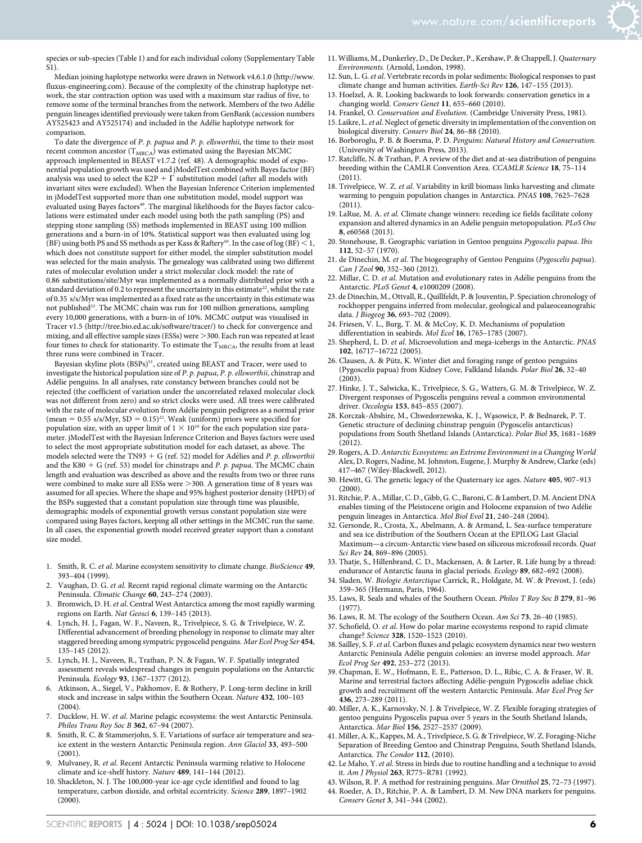species or sub-species (Table 1) and for each individual colony (Supplementary Table S1).

Median joining haplotype networks were drawn in Network v4.6.1.0 [\(http://www.](http://www.fluxus-engineering.com) [fluxus-engineering.com\)](http://www.fluxus-engineering.com). Because of the complexity of the chinstrap haplotype network, the star contraction option was used with a maximum star radius of five, to remove some of the terminal branches from the network. Members of the two Adélie penguin lineages identified previously were taken from GenBank (accession numbers AY525423 and AY525174) and included in the Adélie haplotype network for comparison.

To date the divergence of P. p. papua and P. p. ellsworthii, the time to their most recent common ancestor  $(T_{\text{MRCA}})$  was estimated using the Bayesian MCMC approach implemented in BEAST v1.7.2 (ref. 48). A demographic model of exponential population growth was used and jModelTest combined with Bayes factor (BF) analysis was used to select the K2P +  $\Gamma$  substitution model (after all models with invariant sites were excluded). When the Bayesian Inference Criterion implemented in jModelTest supported more than one substitution model, model support was evaluated using Bayes factors<sup>49</sup>. The marginal likelihoods for the Bayes factor calculations were estimated under each model using both the path sampling (PS) and stepping stone sampling (SS) methods implemented in BEAST using 100 million generations and a burn-in of 10%. Statistical support was then evaluated using log (BF) using both PS and SS methods as per Kass & Raftery<sup>50</sup>. In the case of log (BF)  $<$  1, which does not constitute support for either model, the simpler substitution model was selected for the main analysis. The genealogy was calibrated using two different rates of molecular evolution under a strict molecular clock model: the rate of 0.86 substitutions/site/Myr was implemented as a normally distributed prior with a standard deviation of 0.2 to represent the uncertainty in this estimate<sup>22</sup>, whilst the rate of 0.35 s/s/Myr was implemented as a fixed rate as the uncertainty in this estimate was not published<sup>23</sup>. The MCMC chain was run for 100 million generations, sampling every 10,000 generations, with a burn-in of 10%. MCMC output was visualised in Tracer v1.5 [\(http://tree.bio.ed.ac.uk/software/tracer/\)](http://tree.bio.ed.ac.uk/software/tracer) to check for convergence and mixing, and all effective sample sizes (ESSs) were >300. Each run was repeated at least four times to check for stationarity. To estimate the  $T_{MRCA}$ , the results from at least three runs were combined in Tracer.

Bayesian skyline plots (BSPs)<sup>51</sup>, created using BEAST and Tracer, were used to investigate the historical population size of P. p. papua, P. p. ellsworthii, chinstrap and Adélie penguins. In all analyses, rate constancy between branches could not be rejected (the coefficient of variation under the uncorrelated relaxed molecular clock was not different from zero) and so strict clocks were used. All trees were calibrated with the rate of molecular evolution from Adélie penguin pedigrees as a normal prior (mean =  $0.55 \text{ s/s/Myr}$ , SD =  $0.15$ )<sup>22</sup>. Weak (uniform) priors were specified for population size, with an upper limit of  $1 \times 10^{10}$  for the each population size parameter. jModelTest with the Bayesian Inference Criterion and Bayes factors were used to select the most appropriate substitution model for each dataset, as above. The models selected were the TN93 + G (ref. 52) model for Adélies and P. p. ellsworthii and the K80 + G (ref. 53) model for chinstraps and P. p. papua. The MCMC chain length and evaluation was described as above and the results from two or three runs were combined to make sure all ESSs were  $>$  300. A generation time of 8 years was assumed for all species. Where the shape and 95% highest posterior density (HPD) of the BSPs suggested that a constant population size through time was plausible, demographic models of exponential growth versus constant population size were compared using Bayes factors, keeping all other settings in the MCMC run the same. In all cases, the exponential growth model received greater support than a constant size model.

- 1. Smith, R. C. et al. Marine ecosystem sensitivity to climate change. BioScience 49, 393–404 (1999).
- 2. Vaughan, D. G. et al. Recent rapid regional climate warming on the Antarctic Peninsula. Climatic Change 60, 243–274 (2003).
- 3. Bromwich, D. H. et al. Central West Antarctica among the most rapidly warming regions on Earth. Nat Geosci 6, 139–145 (2013).
- 4. Lynch, H. J., Fagan, W. F., Naveen, R., Trivelpiece, S. G. & Trivelpiece, W. Z. Differential advancement of breeding phenology in response to climate may alter staggered breeding among sympatric pygoscelid penguins. Mar Ecol Prog Ser 454, 135–145 (2012).
- 5. Lynch, H. J., Naveen, R., Trathan, P. N. & Fagan, W. F. Spatially integrated assessment reveals widespread changes in penguin populations on the Antarctic Peninsula. Ecology 93, 1367–1377 (2012).
- 6. Atkinson, A., Siegel, V., Pakhomov, E. & Rothery, P. Long-term decline in krill stock and increase in salps within the Southern Ocean. Nature 432, 100–103 (2004).
- 7. Ducklow, H. W. et al. Marine pelagic ecosystems: the west Antarctic Peninsula. Philos Trans Roy Soc B 362, 67–94 (2007).
- 8. Smith, R. C. & Stammerjohn, S. E. Variations of surface air temperature and seaice extent in the western Antarctic Peninsula region. Ann Glaciol 33, 493–500 (2001).
- Mulvaney, R. et al. Recent Antarctic Peninsula warming relative to Holocene climate and ice-shelf history. Nature 489, 141–144 (2012).
- 10. Shackleton, N. J. The 100,000-year ice-age cycle identified and found to lag temperature, carbon dioxide, and orbital eccentricity. Science 289, 1897–1902 (2000).
- 11.Williams, M., Dunkerley, D., De Decker, P., Kershaw, P. & Chappell, J. Quaternary Environments. (Arnold, London, 1998).
- 12. Sun, L. G. et al. Vertebrate records in polar sediments: Biological responses to past climate change and human activities. Earth-Sci Rev 126, 147-155 (2013).
- 13. Hoelzel, A. R. Looking backwards to look forwards: conservation genetics in a changing world. Conserv Genet 11, 655–660 (2010).
- 14. Frankel, O. Conservation and Evolution. (Cambridge University Press, 1981).
- 15. Laikre, L.et al. Neglect of genetic diversity in implementation of the convention on biological diversity. Conserv Biol 24, 86–88 (2010).
- 16. Borboroglu, P. B. & Boersma, P. D. Penguins: Natural History and Conservation. (University of Washington Press, 2013).
- 17. Ratcliffe, N. & Trathan, P. A review of the diet and at-sea distribution of penguins breeding within the CAMLR Convention Area. CCAMLR Science 18, 75–114 (2011).
- 18. Trivelpiece, W. Z. et al. Variability in krill biomass links harvesting and climate warming to penguin population changes in Antarctica. PNAS 108, 7625–7628 (2011).
- 19. LaRue, M. A. et al. Climate change winners: receding ice fields facilitate colony expansion and altered dynamics in an Adelie penguin metopopulation. PLoS One 8, e60568 (2013).
- 20. Stonehouse, B. Geographic variation in Gentoo penguins Pygoscelis papua. Ibis 112, 52–57 (1970).
- 21. de Dinechin, M. et al. The biogeography of Gentoo Penguins (Pygoscelis papua). Can J Zool 90, 352-360 (2012).
- 22. Millar, C. D. et al. Mutation and evolutionary rates in Adélie penguins from the Antarctic. PLoS Genet 4, e1000209 (2008).
- 23. de Dinechin, M., Ottvall, R., Quillfeldt, P. & Jouventin, P. Speciation chronology of rockhopper penguins inferred from molecular, geological and palaeoceanograhic data. J Biogeog 36, 693–702 (2009).
- 24. Friesen, V. L., Burg, T. M. & McCoy, K. D. Mechanisms of population differentiation in seabirds. Mol Ecol 16, 1765-1785 (2007)
- 25. Shepherd, L. D. et al. Microevolution and mega-icebergs in the Antarctic. PNAS 102, 16717–16722 (2005).
- 26. Clausen, A. & Pütz, K. Winter diet and foraging range of gentoo penguins (Pygoscelis papua) from Kidney Cove, Falkland Islands. Polar Biol 26, 32–40 (2003).
- 27. Hinke, J. T., Salwicka, K., Trivelpiece, S. G., Watters, G. M. & Trivelpiece, W. Z. Divergent responses of Pygoscelis penguins reveal a common environmental driver. Oecologia 153, 845–855 (2007).
- 28. Korczak-Abshire, M., Chwedorzewska, K. J., Wa˛sowicz, P. & Bednarek, P. T. Genetic structure of declining chinstrap penguin (Pygoscelis antarcticus) populations from South Shetland Islands (Antarctica). Polar Biol 35, 1681–1689 (2012).
- 29. Rogers, A. D. Antarctic Ecosystems: an Extreme Environment in a Changing World Alex, D. Rogers, Nadine, M. Johnston, Eugene, J. Murphy & Andrew, Clarke (eds) 417–467 (Wiley-Blackwell, 2012).
- 30. Hewitt, G. The genetic legacy of the Quaternary ice ages. Nature 405, 907–913  $(2000)$
- 31. Ritchie, P. A., Millar, C. D., Gibb, G. C., Baroni, C. & Lambert, D. M. Ancient DNA enables timing of the Pleistocene origin and Holocene expansion of two Adélie penguin lineages in Antarctica. Mol Biol Evol 21, 240–248 (2004).
- 32. Gersonde, R., Crosta, X., Abelmann, A. & Armand, L. Sea-surface temperature and sea ice distribution of the Southern Ocean at the EPILOG Last Glacial Maximum—a circum-Antarctic view based on siliceous microfossil records. Quat Sci Rev 24, 869–896 (2005).
- 33. Thatje, S., Hillenbrand, C. D., Mackensen, A. & Larter, R. Life hung by a thread: endurance of Antarctic fauna in glacial periods. Ecology 89, 682–692 (2008).
- 34. Sladen, W. Biologie Antarctique Carrick, R., Holdgate, M. W. & Prevost, J. (eds) 359–365 (Hermann, Paris, 1964).
- 35. Laws, R. Seals and whales of the Southern Ocean. Philos T Roy Soc B 279, 81–96 (1977).
- 36. Laws, R. M. The ecology of the Southern Ocean. Am Sci 73, 26–40 (1985).
- 37. Schofield, O. et al. How do polar marine ecosystems respond to rapid climate change? Science 328, 1520–1523 (2010).
- 38. Sailley, S. F. et al. Carbon fluxes and pelagic ecosystem dynamics near two western Antarctic Peninsula Adélie penguin colonies: an inverse model approach. Mar Ecol Prog Ser 492, 253–272 (2013).
- 39. Chapman, E. W., Hofmann, E. E., Patterson, D. L., Ribic, C. A. & Fraser, W. R. Marine and terrestrial factors affecting Adélie-penguin Pygoscelis adeliae chick growth and recruitment off the western Antarctic Peninsula. Mar Ecol Prog Ser 436, 273–289 (2011).
- 40. Miller, A. K., Karnovsky, N. J. & Trivelpiece, W. Z. Flexible foraging strategies of gentoo penguins Pygoscelis papua over 5 years in the South Shetland Islands, Antarctica. Mar Biol 156, 2527–2537 (2009).
- 41. Miller, A. K., Kappes, M. A., Trivelpiece, S. G. & Trivelpiece, W. Z. Foraging-Niche Separation of Breeding Gentoo and Chinstrap Penguins, South Shetland Islands, Antarctica. The Condor 112, (2010).
- 42. Le Maho, Y. et al. Stress in birds due to routine handling and a technique to avoid it. Am J Physiol 263, R775–R781 (1992).
- 43. Wilson, R. P. A method for restraining penguins. Mar Ornithol 25, 72–73 (1997).
- 44. Roeder, A. D., Ritchie, P. A. & Lambert, D. M. New DNA markers for penguins. Conserv Genet 3, 341–344 (2002).